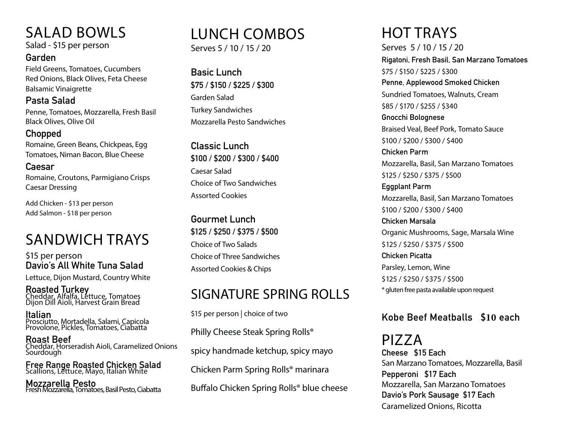## SALAD BOWLS

Salad - \$15 per person

#### **Garden**

Field Greens, Tomatoes, Cucumbers Red Onions, Black Olives, Feta Cheese Balsamic Vinaigrette

**Pasta Salad**  Penne, Tomatoes, Mozzarella, Fresh Basil Black Olives, Olive Oil

#### **Chopped**

Romaine, Green Beans, Chickpeas, Egg Tomatoes, Niman Bacon, Blue Cheese

**Caesar**  Romaine, Croutons, Parmigiano Crisps Caesar Dressing

Add Chicken - \$13 per person Add Salmon - \$18 per person

## SANDWICH TRAYS

\$15 per person **Davio's All White Tuna Salad**  Lettuce, Dijon Mustard, Country White

**Roasted Turkey** Cheddar, Alfalfa, Lettuce, Tomatoes Dijon Dill Aioli, Harvest Grain Bread

**Italian**  Prosciutto, Mortadella, Salami, Capicola Provolone, Pickles, Tomatoes, Ciabatta

**Roast Beef** Cheddar, Horseradish Aioli, Caramelized Onions Sourdough

**Free Range Roasted Chicken Salad**  Scallions, Lettuce, Mayo, Italian White

**Mozzarella Pesto** Fresh Mozzarella, Tomatoes, Basil Pesto, Ciabatta

## LUNCH COMBOS

Serves 5 / 10 / 15 / 20

**Basic Lunch \$75 / \$150 / \$225 / \$300** Garden Salad Turkey Sandwiches Mozzarella Pesto Sandwiches

**Classic Lunch \$100 / \$200 / \$300 / \$400** Caesar Salad Choice of Two Sandwiches Assorted Cookies

**Gourmet Lunch \$125 / \$250 / \$375 / \$500**  Choice of Two Salads Choice of Three Sandwiches Assorted Cookies & Chips

### SIGNATURE SPRING ROLLS

\$15 per person | choice of two

Philly Cheese Steak Spring Rolls®

spicy handmade ketchup, spicy mayo

Chicken Parm Spring Rolls® marinara

Buffalo Chicken Spring Rolls® blue cheese

# HOT TRAYS

Serves 5 / 10 / 15 / 20 **Rigatoni, Fresh Basil, San Marzano Tomatoes** \$75 / \$150 / \$225 / \$300 **Penne, Applewood Smoked Chicken** Sundried Tomatoes, Walnuts, Cream \$85 / \$170 / \$255 / \$340 **Gnocchi Bolognese** Braised Veal, Beef Pork, Tomato Sauce \$100 / \$200 / \$300 / \$400 **Chicken Parm** Mozzarella, Basil, San Marzano Tomatoes \$125 / \$250 / \$375 / \$500 **Eggplant Parm** Mozzarella, Basil, San Marzano Tomatoes \$100 / \$200 / \$300 / \$400 **Chicken Marsala** Organic Mushrooms, Sage, Marsala Wine \$125 / \$250 / \$375 / \$500 **Chicken Picatta** Parsley, Lemon, Wine \$125 / \$250 / \$375 / \$500 \* gluten free pasta available upon request

### **Kobe Beef Meatballs \$10 each**

PIZZA **Cheese \$15 Each** San Marzano Tomatoes, Mozzarella, Basil **Pepperoni \$17 Each** Mozzarella, San Marzano Tomatoes **Davio's Pork Sausage \$17 Each** Caramelized Onions, Ricotta